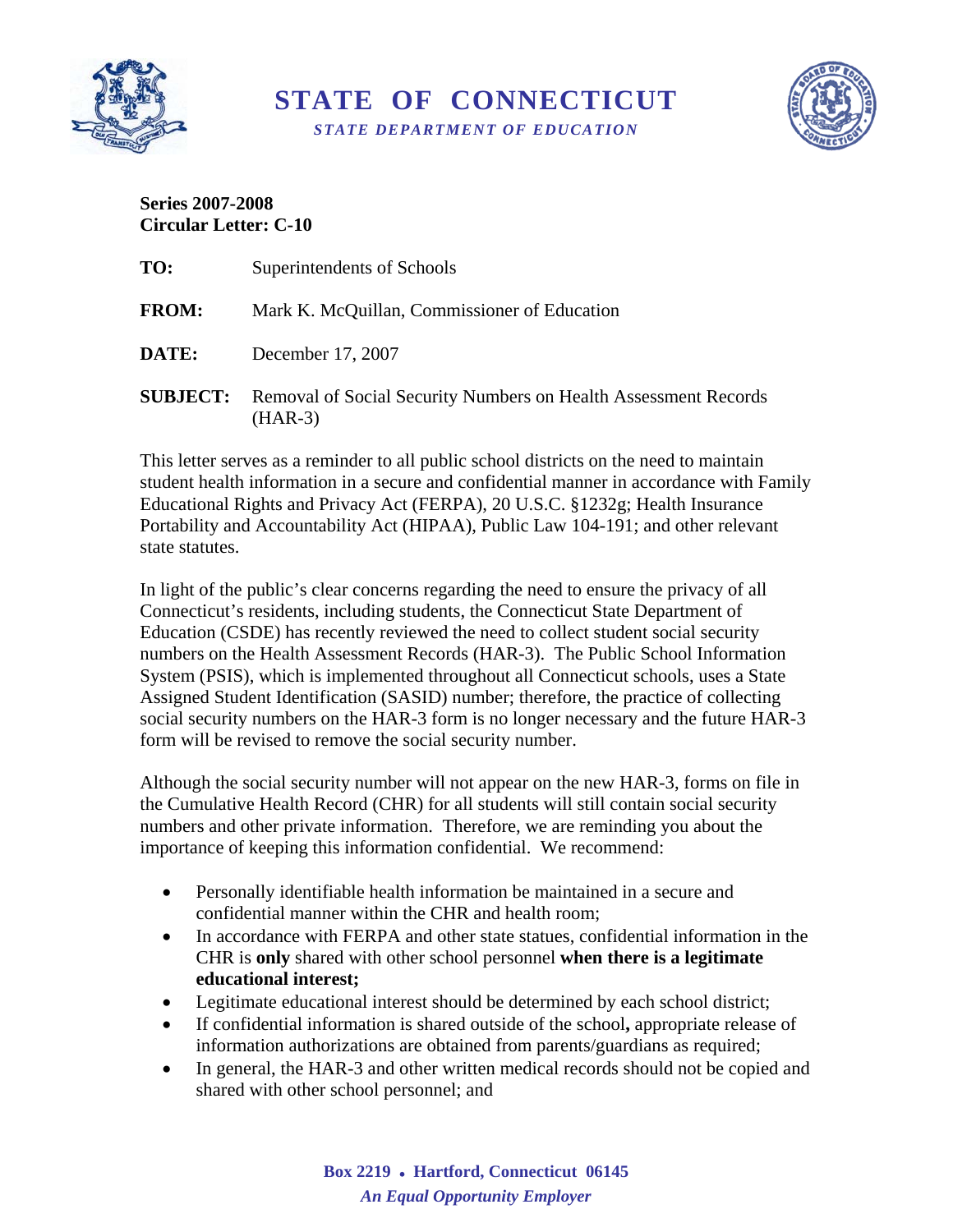

**STATE OF CONNECTICUT**  *STATE DEPARTMENT OF EDUCATION* 



## **Series 2007-2008 Circular Letter: C-10**

| TO:             | Superintendents of Schools                                                   |
|-----------------|------------------------------------------------------------------------------|
| <b>FROM:</b>    | Mark K. McQuillan, Commissioner of Education                                 |
| <b>DATE:</b>    | December 17, 2007                                                            |
| <b>SUBJECT:</b> | Removal of Social Security Numbers on Health Assessment Records<br>$(HAR-3)$ |

This letter serves as a reminder to all public school districts on the need to maintain student health information in a secure and confidential manner in accordance with Family Educational Rights and Privacy Act (FERPA), 20 U.S.C. §1232g; Health Insurance Portability and Accountability Act (HIPAA), Public Law 104-191; and other relevant state statutes.

In light of the public's clear concerns regarding the need to ensure the privacy of all Connecticut's residents, including students, the Connecticut State Department of Education (CSDE) has recently reviewed the need to collect student social security numbers on the Health Assessment Records (HAR-3). The Public School Information System (PSIS), which is implemented throughout all Connecticut schools, uses a State Assigned Student Identification (SASID) number; therefore, the practice of collecting social security numbers on the HAR-3 form is no longer necessary and the future HAR-3 form will be revised to remove the social security number.

Although the social security number will not appear on the new HAR-3, forms on file in the Cumulative Health Record (CHR) for all students will still contain social security numbers and other private information. Therefore, we are reminding you about the importance of keeping this information confidential. We recommend:

- Personally identifiable health information be maintained in a secure and confidential manner within the CHR and health room;
- In accordance with FERPA and other state statues, confidential information in the CHR is **only** shared with other school personnel **when there is a legitimate educational interest;**
- Legitimate educational interest should be determined by each school district;
- If confidential information is shared outside of the school**,** appropriate release of information authorizations are obtained from parents/guardians as required;
- In general, the HAR-3 and other written medical records should not be copied and shared with other school personnel; and

**Box 2219** • **Hartford, Connecticut 06145**  *An Equal Opportunity Employer*